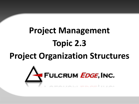# **Project Management Topic 2.3**

## **Project Organization Structures**

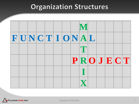#### **Organization Structures**



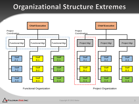#### **Organizational Structure Extremes**



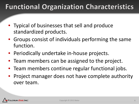## **Functional Organization Characteristics**

- Typical of businesses that sell and produce standardized products.
- Groups consist of individuals performing the same function.
- Periodically undertake in-house projects.
- Team members can be assigned to the project.
- Team members continue regular functional jobs.
- Project manager does not have complete authority over team.

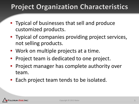### **Project Organization Characteristics**

- Typical of businesses that sell and produce customized products.
- Typical of companies providing project services, not selling products.
- Work on multiple projects at a time.
- Project team is dedicated to one project.
- Project manager has complete authority over team.
- Each project team tends to be isolated.

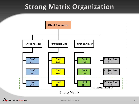#### **Strong Matrix Organization**



#### Strong Matrix

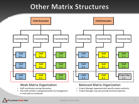#### **Other Matrix Structures**



- Staff coordinates among themselves
- One staff member is designated either by management or internally to coordinate

#### Weak Matrix Organization **Balanced Matrix Organization**

- Project Manager appointed with specific project authority
- Project Manager may also provide technical expertise

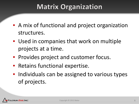## **Matrix Organization**

- A mix of functional and project organization structures.
- Used in companies that work on multiple projects at a time.
- Provides project and customer focus.
- Retains functional expertise.
- Individuals can be assigned to various types of projects.

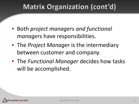## Matrix Organization (cont'd)

- Both *project managers and functional managers* have responsibilities.
- The *Project Manager* is the intermediary between customer and company.
- The *Functional Manager* decides how tasks will be accomplished.

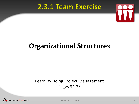#### 2.3.1 Team Exercise



## **Organizational Structures**

#### Learn by Doing Project Management Pages 34-35



Copyright © 2013 Baker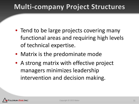#### **Multi-company Project Structures**

- Tend to be large projects covering many functional areas and requiring high levels of technical expertise.
- Matrix is the predominate mode
- A strong matrix with effective project managers minimizes leadership intervention and decision making.